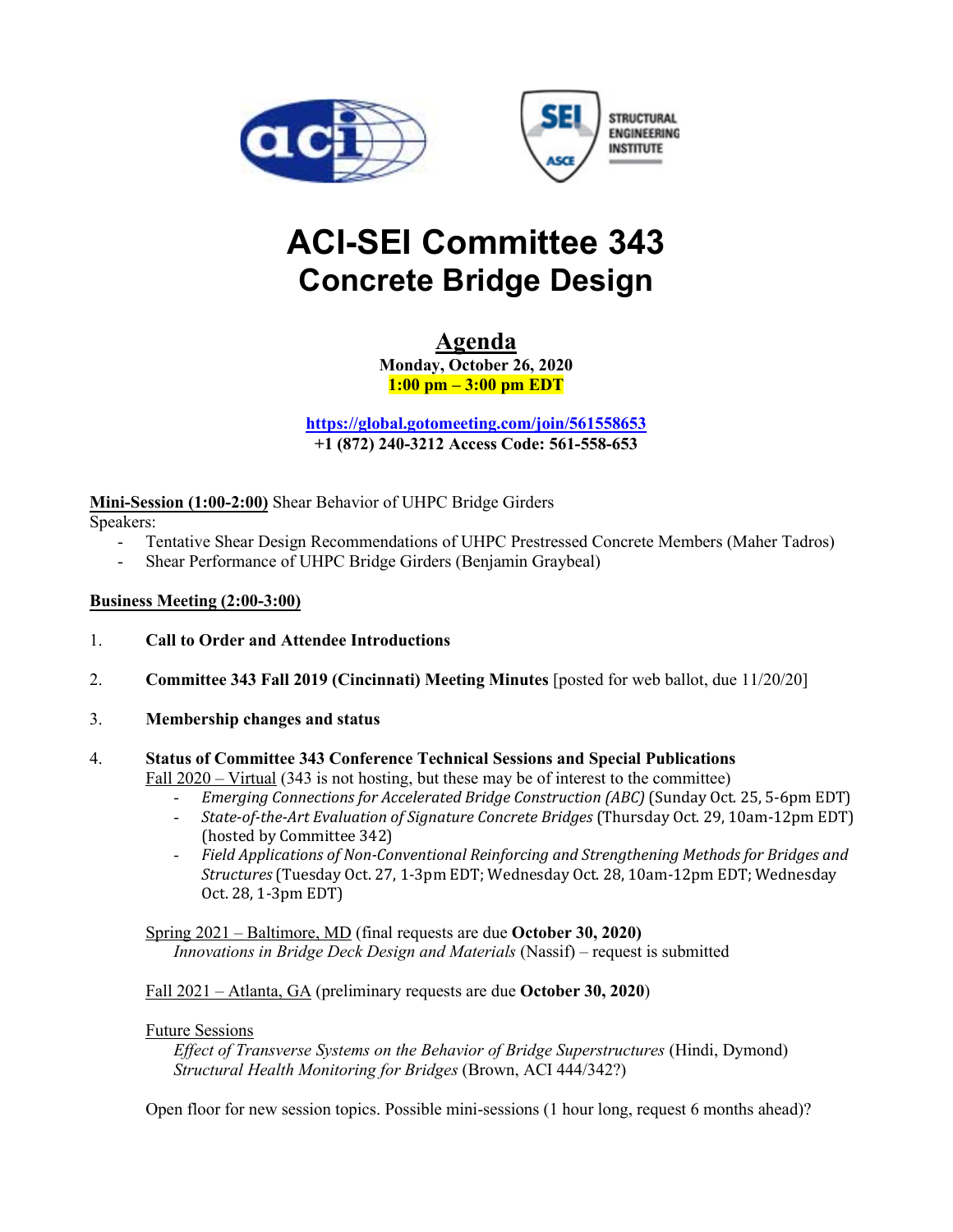



# **ACI-SEI Committee 343 Concrete Bridge Design**

**Agenda Monday, October 26, 2020 1:00 pm – 3:00 pm EDT** 

**https://global.gotomeeting.com/join/561558653 +1 (872) 240-3212 Access Code: 561-558-653**

**Mini-Session (1:00-2:00)** Shear Behavior of UHPC Bridge Girders

Speakers:

- Tentative Shear Design Recommendations of UHPC Prestressed Concrete Members (Maher Tadros)
- Shear Performance of UHPC Bridge Girders (Benjamin Graybeal)

#### **Business Meeting (2:00-3:00)**

- 1. **Call to Order and Attendee Introductions**
- 2. **Committee 343 Fall 2019 (Cincinnati) Meeting Minutes** [posted for web ballot, due 11/20/20]
- 3. **Membership changes and status**

### 4. **Status of Committee 343 Conference Technical Sessions and Special Publications**

Fall 2020 – Virtual (343 is not hosting, but these may be of interest to the committee)

- *Emerging Connections for Accelerated Bridge Construction (ABC)* (Sunday Oct. 25, 5-6pm EDT)
- *State-of-the-Art Evaluation of Signature Concrete Bridges* (Thursday Oct. 29, 10am-12pm EDT) (hosted by Committee 342)
- *Field Applications of Non-Conventional Reinforcing and Strengthening Methods for Bridges and Structures* (Tuesday Oct. 27, 1-3pm EDT; Wednesday Oct. 28, 10am-12pm EDT; Wednesday Oct. 28, 1-3pm EDT)

Spring 2021 – Baltimore, MD (final requests are due **October 30, 2020)**  *Innovations in Bridge Deck Design and Materials* (Nassif) – request is submitted

#### Fall 2021 – Atlanta, GA (preliminary requests are due **October 30, 2020**)

#### Future Sessions

*Effect of Transverse Systems on the Behavior of Bridge Superstructures* (Hindi, Dymond) *Structural Health Monitoring for Bridges* (Brown, ACI 444/342?)

Open floor for new session topics. Possible mini-sessions (1 hour long, request 6 months ahead)?